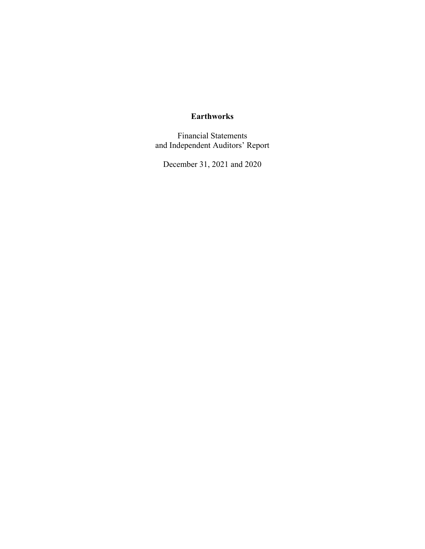Financial Statements and Independent Auditors' Report

December 31, 2021 and 2020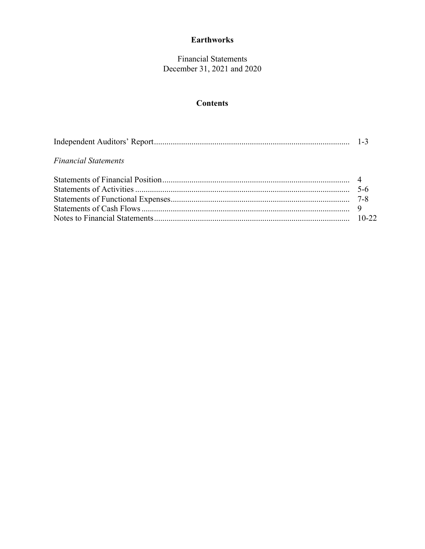**Financial Statements** December 31, 2021 and 2020

## **Contents**

| <b>Financial Statements</b> |  |
|-----------------------------|--|
|                             |  |
|                             |  |
|                             |  |
|                             |  |
|                             |  |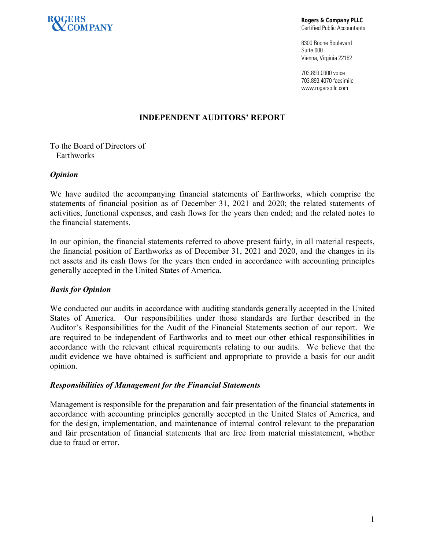

**Rogers & Company PLLC**  Certified Public Accountants

8300 Boone Boulevard Suite 600 Vienna, Virginia 22182

703.893.0300 voice 703.893.4070 facsimile www.rogerspllc.com

## **INDEPENDENT AUDITORS' REPORT**

To the Board of Directors of Earthworks

## *Opinion*

We have audited the accompanying financial statements of Earthworks, which comprise the statements of financial position as of December 31, 2021 and 2020; the related statements of activities, functional expenses, and cash flows for the years then ended; and the related notes to the financial statements.

In our opinion, the financial statements referred to above present fairly, in all material respects, the financial position of Earthworks as of December 31, 2021 and 2020, and the changes in its net assets and its cash flows for the years then ended in accordance with accounting principles generally accepted in the United States of America.

## *Basis for Opinion*

We conducted our audits in accordance with auditing standards generally accepted in the United States of America. Our responsibilities under those standards are further described in the Auditor's Responsibilities for the Audit of the Financial Statements section of our report. We are required to be independent of Earthworks and to meet our other ethical responsibilities in accordance with the relevant ethical requirements relating to our audits. We believe that the audit evidence we have obtained is sufficient and appropriate to provide a basis for our audit opinion.

## *Responsibilities of Management for the Financial Statements*

Management is responsible for the preparation and fair presentation of the financial statements in accordance with accounting principles generally accepted in the United States of America, and for the design, implementation, and maintenance of internal control relevant to the preparation and fair presentation of financial statements that are free from material misstatement, whether due to fraud or error.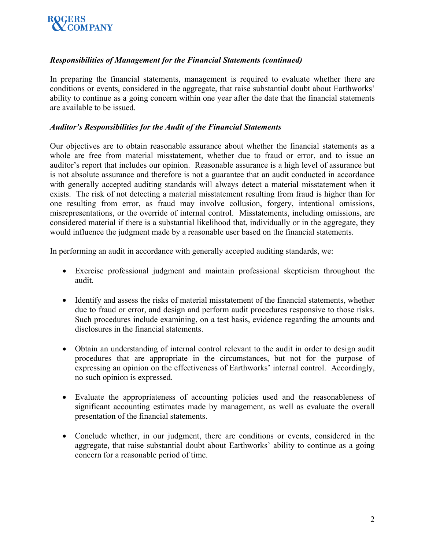

## *Responsibilities of Management for the Financial Statements (continued)*

In preparing the financial statements, management is required to evaluate whether there are conditions or events, considered in the aggregate, that raise substantial doubt about Earthworks' ability to continue as a going concern within one year after the date that the financial statements are available to be issued.

### *Auditor's Responsibilities for the Audit of the Financial Statements*

Our objectives are to obtain reasonable assurance about whether the financial statements as a whole are free from material misstatement, whether due to fraud or error, and to issue an auditor's report that includes our opinion. Reasonable assurance is a high level of assurance but is not absolute assurance and therefore is not a guarantee that an audit conducted in accordance with generally accepted auditing standards will always detect a material misstatement when it exists. The risk of not detecting a material misstatement resulting from fraud is higher than for one resulting from error, as fraud may involve collusion, forgery, intentional omissions, misrepresentations, or the override of internal control. Misstatements, including omissions, are considered material if there is a substantial likelihood that, individually or in the aggregate, they would influence the judgment made by a reasonable user based on the financial statements.

In performing an audit in accordance with generally accepted auditing standards, we:

- Exercise professional judgment and maintain professional skepticism throughout the audit.
- Identify and assess the risks of material misstatement of the financial statements, whether due to fraud or error, and design and perform audit procedures responsive to those risks. Such procedures include examining, on a test basis, evidence regarding the amounts and disclosures in the financial statements.
- Obtain an understanding of internal control relevant to the audit in order to design audit procedures that are appropriate in the circumstances, but not for the purpose of expressing an opinion on the effectiveness of Earthworks' internal control. Accordingly, no such opinion is expressed.
- Evaluate the appropriateness of accounting policies used and the reasonableness of significant accounting estimates made by management, as well as evaluate the overall presentation of the financial statements.
- Conclude whether, in our judgment, there are conditions or events, considered in the aggregate, that raise substantial doubt about Earthworks' ability to continue as a going concern for a reasonable period of time.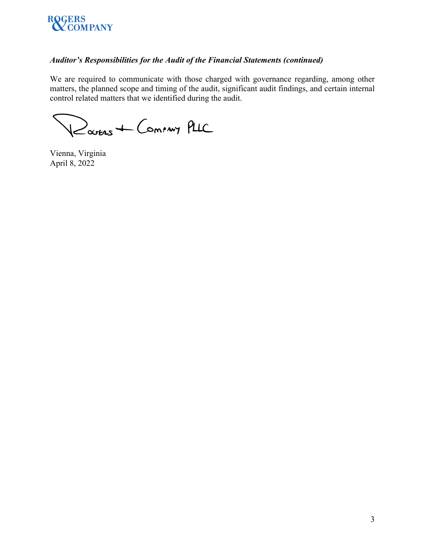

## *Auditor's Responsibilities for the Audit of the Financial Statements (continued)*

We are required to communicate with those charged with governance regarding, among other matters, the planned scope and timing of the audit, significant audit findings, and certain internal control related matters that we identified during the audit.

Ravens + Coming PLIC

Vienna, Virginia April 8, 2022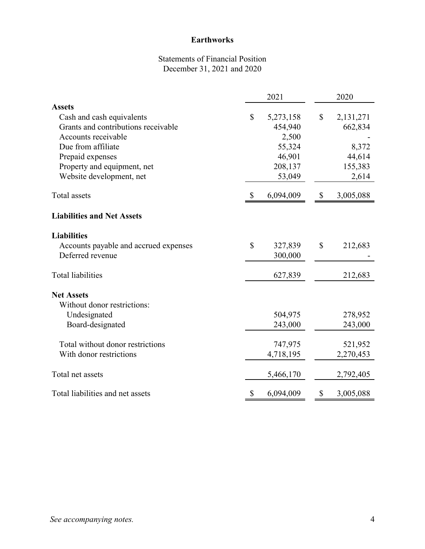## Statements of Financial Position December 31, 2021 and 2020

| 2021 |           | 2020                                                           |           |
|------|-----------|----------------------------------------------------------------|-----------|
|      |           |                                                                |           |
| \$   | 5,273,158 | \$                                                             | 2,131,271 |
|      | 454,940   |                                                                | 662,834   |
|      | 2,500     |                                                                |           |
|      | 55,324    |                                                                | 8,372     |
|      |           |                                                                | 44,614    |
|      |           |                                                                | 155,383   |
|      |           |                                                                | 2,614     |
|      | 6,094,009 | $\mathbb{S}$                                                   | 3,005,088 |
|      |           |                                                                |           |
|      |           |                                                                |           |
| \$   | 327,839   | \$                                                             | 212,683   |
|      | 300,000   |                                                                |           |
|      | 627,839   |                                                                | 212,683   |
|      |           |                                                                |           |
|      |           |                                                                |           |
|      |           |                                                                | 278,952   |
|      | 243,000   |                                                                | 243,000   |
|      |           |                                                                | 521,952   |
|      |           |                                                                | 2,270,453 |
|      |           |                                                                |           |
|      | 5,466,170 |                                                                | 2,792,405 |
| \$   | 6,094,009 | \$                                                             | 3,005,088 |
|      |           | 46,901<br>208,137<br>53,049<br>504,975<br>747,975<br>4,718,195 |           |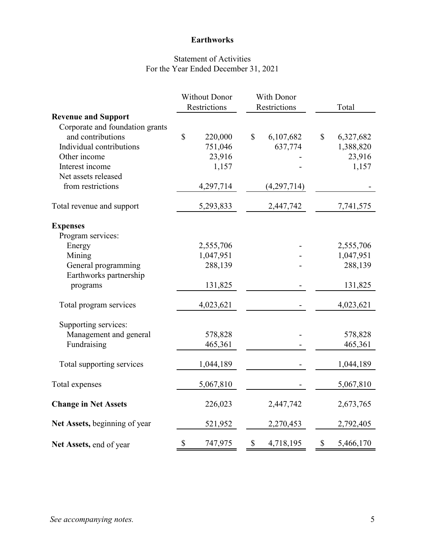## Statement of Activities For the Year Ended December 31, 2021

|                                 |                        | <b>Without Donor</b> | With Donor      |                 |
|---------------------------------|------------------------|----------------------|-----------------|-----------------|
|                                 |                        | Restrictions         | Restrictions    | Total           |
| <b>Revenue and Support</b>      |                        |                      |                 |                 |
| Corporate and foundation grants |                        |                      |                 |                 |
| and contributions               | $\sqrt{\frac{2}{\pi}}$ | 220,000              | \$<br>6,107,682 | \$<br>6,327,682 |
| Individual contributions        |                        | 751,046              | 637,774         | 1,388,820       |
| Other income                    |                        | 23,916               |                 | 23,916          |
| Interest income                 |                        | 1,157                |                 | 1,157           |
| Net assets released             |                        |                      |                 |                 |
| from restrictions               |                        | 4,297,714            | (4,297,714)     |                 |
| Total revenue and support       |                        | 5,293,833            | 2,447,742       | 7,741,575       |
| <b>Expenses</b>                 |                        |                      |                 |                 |
| Program services:               |                        |                      |                 |                 |
| Energy                          |                        | 2,555,706            |                 | 2,555,706       |
| Mining                          |                        | 1,047,951            |                 | 1,047,951       |
| General programming             |                        | 288,139              |                 | 288,139         |
| Earthworks partnership          |                        |                      |                 |                 |
| programs                        |                        | 131,825              |                 | 131,825         |
| Total program services          |                        | 4,023,621            |                 | 4,023,621       |
| Supporting services:            |                        |                      |                 |                 |
| Management and general          |                        | 578,828              |                 | 578,828         |
| Fundraising                     |                        | 465,361              |                 | 465,361         |
| Total supporting services       |                        | 1,044,189            |                 | 1,044,189       |
| Total expenses                  |                        | 5,067,810            |                 | 5,067,810       |
|                                 |                        |                      |                 |                 |
| <b>Change in Net Assets</b>     |                        | 226,023              | 2,447,742       | 2,673,765       |
| Net Assets, beginning of year   |                        | 521,952              | 2,270,453       | 2,792,405       |
| Net Assets, end of year         | \$                     | 747,975              | \$<br>4,718,195 | \$<br>5,466,170 |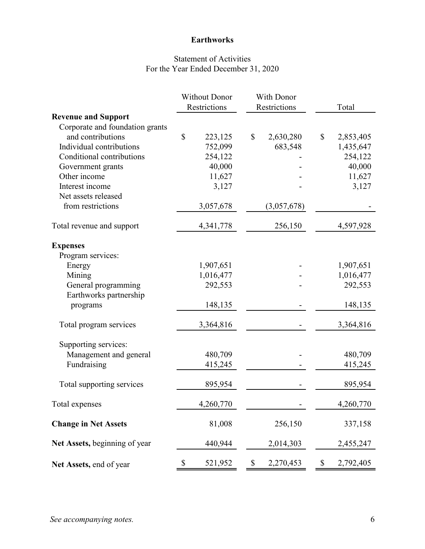## Statement of Activities For the Year Ended December 31, 2020

|                                 | <b>Without Donor</b><br>Restrictions |           |              | With Donor<br>Restrictions |    | Total     |
|---------------------------------|--------------------------------------|-----------|--------------|----------------------------|----|-----------|
| <b>Revenue and Support</b>      |                                      |           |              |                            |    |           |
| Corporate and foundation grants |                                      |           |              |                            |    |           |
| and contributions               | \$                                   | 223,125   | $\mathbb{S}$ | 2,630,280                  | \$ | 2,853,405 |
| Individual contributions        |                                      | 752,099   |              | 683,548                    |    | 1,435,647 |
| Conditional contributions       |                                      | 254,122   |              |                            |    | 254,122   |
| Government grants               |                                      | 40,000    |              |                            |    | 40,000    |
| Other income                    |                                      | 11,627    |              |                            |    | 11,627    |
| Interest income                 |                                      | 3,127     |              |                            |    | 3,127     |
| Net assets released             |                                      |           |              |                            |    |           |
| from restrictions               |                                      | 3,057,678 |              | (3,057,678)                |    |           |
| Total revenue and support       |                                      | 4,341,778 |              | 256,150                    |    | 4,597,928 |
| <b>Expenses</b>                 |                                      |           |              |                            |    |           |
| Program services:               |                                      |           |              |                            |    |           |
| Energy                          |                                      | 1,907,651 |              |                            |    | 1,907,651 |
| Mining                          |                                      | 1,016,477 |              |                            |    | 1,016,477 |
| General programming             |                                      | 292,553   |              |                            |    | 292,553   |
| Earthworks partnership          |                                      |           |              |                            |    |           |
| programs                        |                                      | 148,135   |              |                            |    | 148,135   |
| Total program services          |                                      | 3,364,816 |              |                            |    | 3,364,816 |
| Supporting services:            |                                      |           |              |                            |    |           |
| Management and general          |                                      | 480,709   |              |                            |    | 480,709   |
| Fundraising                     |                                      | 415,245   |              |                            |    | 415,245   |
| Total supporting services       |                                      | 895,954   |              |                            |    | 895,954   |
| Total expenses                  |                                      | 4,260,770 |              |                            |    | 4,260,770 |
| <b>Change in Net Assets</b>     |                                      | 81,008    |              | 256,150                    |    | 337,158   |
| Net Assets, beginning of year   |                                      | 440,944   |              | 2,014,303                  |    | 2,455,247 |
| Net Assets, end of year         | \$                                   | 521,952   | \$           | 2,270,453                  | \$ | 2,792,405 |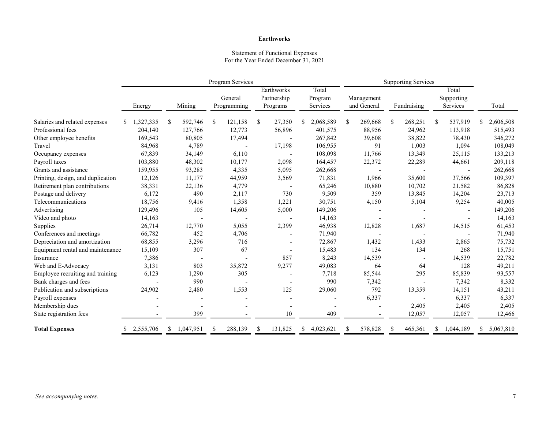#### Statement of Functional Expenses For the Year Ended December 31, 2021

|                                   | Program Services          |                |                          |                                       | <b>Supporting Services</b>   |                           |                          |                                 |                           |
|-----------------------------------|---------------------------|----------------|--------------------------|---------------------------------------|------------------------------|---------------------------|--------------------------|---------------------------------|---------------------------|
|                                   | Energy                    | Mining         | General<br>Programming   | Earthworks<br>Partnership<br>Programs | Total<br>Program<br>Services | Management<br>and General | Fundraising              | Total<br>Supporting<br>Services | Total                     |
| Salaries and related expenses     | 1,327,335<br><sup>S</sup> | 592,746<br>\$  | 121,158<br>\$            | 27,350<br>-S                          | 2,068,589<br>S               | \$<br>269,668             | \$<br>268,251            | 537,919<br>\$                   | 2,606,508<br>\$           |
| Professional fees                 | 204,140                   | 127,766        | 12,773                   | 56,896                                | 401,575                      | 88,956                    | 24,962                   | 113,918                         | 515,493                   |
| Other employee benefits           | 169,543                   | 80,805         | 17,494                   |                                       | 267,842                      | 39,608                    | 38,822                   | 78,430                          | 346,272                   |
| Travel                            | 84,968                    | 4,789          | $\overline{\phantom{a}}$ | 17,198                                | 106,955                      | 91                        | 1,003                    | 1,094                           | 108,049                   |
| Occupancy expenses                | 67,839                    | 34,149         | 6,110                    |                                       | 108,098                      | 11,766                    | 13,349                   | 25,115                          | 133,213                   |
| Payroll taxes                     | 103,880                   | 48,302         | 10,177                   | 2,098                                 | 164,457                      | 22,372                    | 22,289                   | 44,661                          | 209,118                   |
| Grants and assistance             | 159,955                   | 93,283         | 4,335                    | 5,095                                 | 262,668                      | $\overline{\phantom{a}}$  |                          |                                 | 262,668                   |
| Printing, design, and duplication | 12,126                    | 11,177         | 44,959                   | 3,569                                 | 71,831                       | 1,966                     | 35,600                   | 37,566                          | 109,397                   |
| Retirement plan contributions     | 38,331                    | 22,136         | 4,779                    |                                       | 65,246                       | 10,880                    | 10,702                   | 21,582                          | 86,828                    |
| Postage and delivery              | 6,172                     | 490            | 2,117                    | 730                                   | 9,509                        | 359                       | 13,845                   | 14,204                          | 23,713                    |
| Telecommunications                | 18,756                    | 9,416          | 1,358                    | 1,221                                 | 30,751                       | 4,150                     | 5,104                    | 9,254                           | 40,005                    |
| Advertising                       | 129,496                   | 105            | 14,605                   | 5,000                                 | 149,206                      |                           |                          |                                 | 149,206                   |
| Video and photo                   | 14,163                    |                |                          |                                       | 14,163                       |                           |                          |                                 | 14,163                    |
| Supplies                          | 26,714                    | 12,770         | 5,055                    | 2,399                                 | 46,938                       | 12,828                    | 1,687                    | 14,515                          | 61,453                    |
| Conferences and meetings          | 66,782                    | 452            | 4,706                    |                                       | 71,940                       |                           |                          |                                 | 71,940                    |
| Depreciation and amortization     | 68,855                    | 3,296          | 716                      |                                       | 72,867                       | 1,432                     | 1,433                    | 2,865                           | 75,732                    |
| Equipment rental and maintenance  | 15,109                    | 307            | 67                       |                                       | 15,483                       | 134                       | 134                      | 268                             | 15,751                    |
| Insurance                         | 7,386                     |                |                          | 857                                   | 8,243                        | 14,539                    | $\overline{\phantom{a}}$ | 14,539                          | 22,782                    |
| Web and E-Advocacy                | 3,131                     | 803            | 35,872                   | 9,277                                 | 49,083                       | 64                        | 64                       | 128                             | 49,211                    |
| Employee recruiting and training  | 6,123                     | 1,290          | 305                      |                                       | 7,718                        | 85,544                    | 295                      | 85,839                          | 93,557                    |
| Bank charges and fees             |                           | 990            |                          |                                       | 990                          | 7,342                     | $\overline{\phantom{a}}$ | 7,342                           | 8,332                     |
| Publication and subscriptions     | 24,902                    | 2,480          | 1,553                    | 125                                   | 29,060                       | 792                       | 13,359                   | 14,151                          | 43,211                    |
| Payroll expenses                  |                           |                |                          |                                       |                              | 6,337                     |                          | 6,337                           | 6,337                     |
| Membership dues                   |                           |                |                          |                                       |                              |                           | 2,405                    | 2,405                           | 2,405                     |
| State registration fees           |                           | 399            |                          | 10                                    | 409                          |                           | 12,057                   | 12,057                          | 12,466                    |
| <b>Total Expenses</b>             | 2,555,706                 | 1,047,951<br>S | 288,139                  | 131,825<br>S                          | 4,023,621<br><sup>\$</sup>   | 578,828<br>S              | 465,361                  | 1,044,189                       | 5,067,810<br><sup>S</sup> |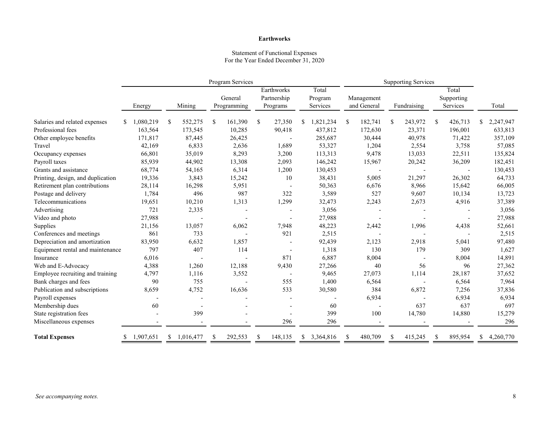#### Statement of Functional Expenses For the Year Ended December 31, 2020

|                                   | Program Services |                 |                        |                                       | <b>Supporting Services</b>   |                           |                          |                                 |                 |
|-----------------------------------|------------------|-----------------|------------------------|---------------------------------------|------------------------------|---------------------------|--------------------------|---------------------------------|-----------------|
|                                   | Energy           | Mining          | General<br>Programming | Earthworks<br>Partnership<br>Programs | Total<br>Program<br>Services | Management<br>and General | Fundraising              | Total<br>Supporting<br>Services | Total           |
| Salaries and related expenses     | 1,080,219<br>S.  | 552,275<br>\$   | 161,390<br>\$          | 27,350<br>\$                          | 1,821,234<br>S               | <sup>\$</sup><br>182,741  | \$<br>243,972            | 426,713<br>\$                   | 2,247,947<br>S. |
| Professional fees                 | 163,564          | 173,545         | 10,285                 | 90,418                                | 437,812                      | 172,630                   | 23,371                   | 196,001                         | 633,813         |
| Other employee benefits           | 171,817          | 87,445          | 26,425                 |                                       | 285,687                      | 30,444                    | 40,978                   | 71,422                          | 357,109         |
| Travel                            | 42,169           | 6,833           | 2,636                  | 1,689                                 | 53,327                       | 1,204                     | 2,554                    | 3,758                           | 57,085          |
| Occupancy expenses                | 66,801           | 35,019          | 8,293                  | 3,200                                 | 113,313                      | 9,478                     | 13,033                   | 22,511                          | 135,824         |
| Payroll taxes                     | 85,939           | 44,902          | 13,308                 | 2,093                                 | 146,242                      | 15,967                    | 20,242                   | 36,209                          | 182,451         |
| Grants and assistance             | 68,774           | 54,165          | 6,314                  | 1,200                                 | 130,453                      |                           |                          |                                 | 130,453         |
| Printing, design, and duplication | 19,336           | 3,843           | 15,242                 | 10                                    | 38,431                       | 5,005                     | 21,297                   | 26,302                          | 64,733          |
| Retirement plan contributions     | 28,114           | 16,298          | 5,951                  |                                       | 50,363                       | 6,676                     | 8,966                    | 15,642                          | 66,005          |
| Postage and delivery              | 1,784            | 496             | 987                    | 322                                   | 3,589                        | 527                       | 9,607                    | 10,134                          | 13,723          |
| Telecommunications                | 19,651           | 10,210          | 1,313                  | 1,299                                 | 32,473                       | 2,243                     | 2,673                    | 4,916                           | 37,389          |
| Advertising                       | 721              | 2,335           |                        |                                       | 3,056                        |                           |                          |                                 | 3,056           |
| Video and photo                   | 27,988           |                 |                        |                                       | 27,988                       |                           |                          |                                 | 27,988          |
| Supplies                          | 21,156           | 13,057          | 6,062                  | 7,948                                 | 48,223                       | 2,442                     | 1,996                    | 4,438                           | 52,661          |
| Conferences and meetings          | 861              | 733             |                        | 921                                   | 2,515                        |                           |                          |                                 | 2,515           |
| Depreciation and amortization     | 83,950           | 6,632           | 1,857                  |                                       | 92,439                       | 2,123                     | 2,918                    | 5,041                           | 97,480          |
| Equipment rental and maintenance  | 797              | 407             | 114                    |                                       | 1,318                        | 130                       | 179                      | 309                             | 1,627           |
| Insurance                         | 6,016            |                 |                        | 871                                   | 6,887                        | 8,004                     |                          | 8,004                           | 14,891          |
| Web and E-Advocacy                | 4,388            | 1,260           | 12,188                 | 9,430                                 | 27,266                       | 40                        | 56                       | 96                              | 27,362          |
| Employee recruiting and training  | 4,797            | 1,116           | 3,552                  |                                       | 9,465                        | 27,073                    | 1,114                    | 28,187                          | 37,652          |
| Bank charges and fees             | 90               | 755             |                        | 555                                   | 1,400                        | 6,564                     |                          | 6,564                           | 7,964           |
| Publication and subscriptions     | 8,659            | 4,752           | 16,636                 | 533                                   | 30,580                       | 384                       | 6,872                    | 7,256                           | 37,836          |
| Payroll expenses                  |                  |                 |                        |                                       |                              | 6,934                     |                          | 6,934                           | 6,934           |
| Membership dues                   | 60               |                 |                        |                                       | 60                           |                           | 637                      | 637                             | 697             |
| State registration fees           |                  | 399             |                        |                                       | 399                          | 100                       | 14,780                   | 14,880                          | 15,279          |
| Miscellaneous expenses            |                  |                 |                        | 296                                   | 296                          |                           |                          |                                 | 296             |
| <b>Total Expenses</b>             | 1.907.651        | \$<br>1.016.477 | 292,553                | 148,135<br>\$                         | S.<br>3,364,816              | S<br>480,709              | <sup>\$</sup><br>415,245 | \$<br>895,954                   | \$<br>4,260,770 |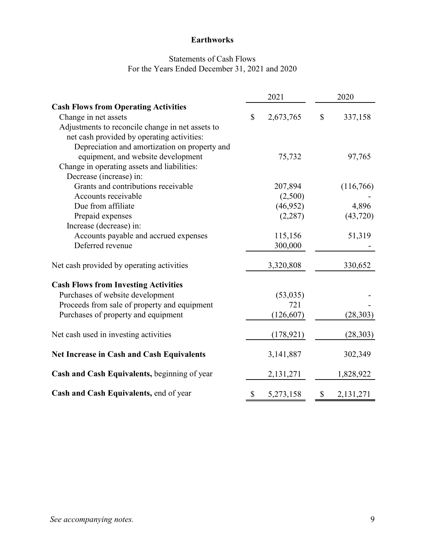## Statements of Cash Flows For the Years Ended December 31, 2021 and 2020

|                                                  |    | 2021       | 2020 |           |  |
|--------------------------------------------------|----|------------|------|-----------|--|
| <b>Cash Flows from Operating Activities</b>      |    |            |      |           |  |
| Change in net assets                             | \$ | 2,673,765  | \$   | 337,158   |  |
| Adjustments to reconcile change in net assets to |    |            |      |           |  |
| net cash provided by operating activities:       |    |            |      |           |  |
| Depreciation and amortization on property and    |    |            |      |           |  |
| equipment, and website development               |    | 75,732     |      | 97,765    |  |
| Change in operating assets and liabilities:      |    |            |      |           |  |
| Decrease (increase) in:                          |    |            |      |           |  |
| Grants and contributions receivable              |    | 207,894    |      | (116,766) |  |
| Accounts receivable                              |    | (2,500)    |      |           |  |
| Due from affiliate                               |    | (46,952)   |      | 4,896     |  |
| Prepaid expenses                                 |    | (2, 287)   |      | (43, 720) |  |
| Increase (decrease) in:                          |    |            |      |           |  |
| Accounts payable and accrued expenses            |    | 115,156    |      | 51,319    |  |
| Deferred revenue                                 |    | 300,000    |      |           |  |
| Net cash provided by operating activities        |    | 3,320,808  |      | 330,652   |  |
| <b>Cash Flows from Investing Activities</b>      |    |            |      |           |  |
| Purchases of website development                 |    | (53,035)   |      |           |  |
| Proceeds from sale of property and equipment     |    | 721        |      |           |  |
| Purchases of property and equipment              |    | (126, 607) |      | (28, 303) |  |
| Net cash used in investing activities            |    | (178, 921) |      | (28, 303) |  |
| <b>Net Increase in Cash and Cash Equivalents</b> |    | 3,141,887  |      | 302,349   |  |
| Cash and Cash Equivalents, beginning of year     |    | 2,131,271  |      | 1,828,922 |  |
| Cash and Cash Equivalents, end of year           | \$ | 5,273,158  | \$   | 2,131,271 |  |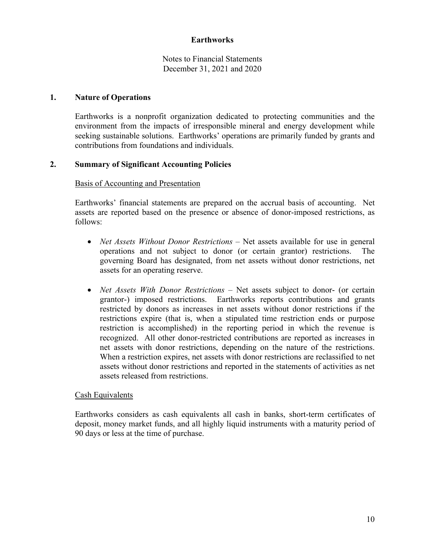Notes to Financial Statements December 31, 2021 and 2020

### **1. Nature of Operations**

Earthworks is a nonprofit organization dedicated to protecting communities and the environment from the impacts of irresponsible mineral and energy development while seeking sustainable solutions. Earthworks' operations are primarily funded by grants and contributions from foundations and individuals.

## **2. Summary of Significant Accounting Policies**

### Basis of Accounting and Presentation

Earthworks' financial statements are prepared on the accrual basis of accounting. Net assets are reported based on the presence or absence of donor-imposed restrictions, as follows:

- *Net Assets Without Donor Restrictions* Net assets available for use in general operations and not subject to donor (or certain grantor) restrictions. The governing Board has designated, from net assets without donor restrictions, net assets for an operating reserve.
- *Net Assets With Donor Restrictions* Net assets subject to donor- (or certain grantor-) imposed restrictions. Earthworks reports contributions and grants restricted by donors as increases in net assets without donor restrictions if the restrictions expire (that is, when a stipulated time restriction ends or purpose restriction is accomplished) in the reporting period in which the revenue is recognized. All other donor-restricted contributions are reported as increases in net assets with donor restrictions, depending on the nature of the restrictions. When a restriction expires, net assets with donor restrictions are reclassified to net assets without donor restrictions and reported in the statements of activities as net assets released from restrictions.

## Cash Equivalents

Earthworks considers as cash equivalents all cash in banks, short-term certificates of deposit, money market funds, and all highly liquid instruments with a maturity period of 90 days or less at the time of purchase.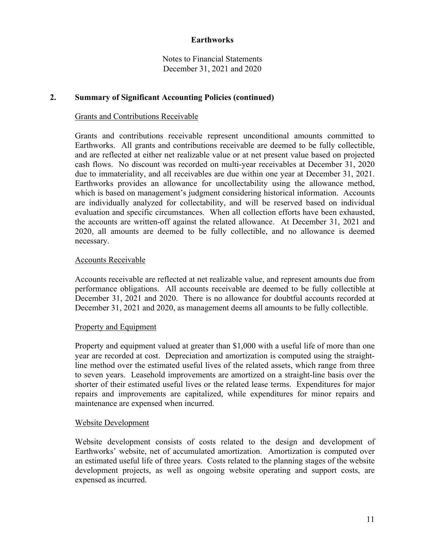Notes to Financial Statements December 31, 2021 and 2020

## **2. Summary of Significant Accounting Policies (continued)**

### Grants and Contributions Receivable

Grants and contributions receivable represent unconditional amounts committed to Earthworks. All grants and contributions receivable are deemed to be fully collectible, and are reflected at either net realizable value or at net present value based on projected cash flows. No discount was recorded on multi-year receivables at December 31, 2020 due to immateriality, and all receivables are due within one year at December 31, 2021. Earthworks provides an allowance for uncollectability using the allowance method, which is based on management's judgment considering historical information. Accounts are individually analyzed for collectability, and will be reserved based on individual evaluation and specific circumstances. When all collection efforts have been exhausted, the accounts are written-off against the related allowance. At December 31, 2021 and 2020, all amounts are deemed to be fully collectible, and no allowance is deemed necessary.

### Accounts Receivable

Accounts receivable are reflected at net realizable value, and represent amounts due from performance obligations. All accounts receivable are deemed to be fully collectible at December 31, 2021 and 2020. There is no allowance for doubtful accounts recorded at December 31, 2021 and 2020, as management deems all amounts to be fully collectible.

#### Property and Equipment

Property and equipment valued at greater than \$1,000 with a useful life of more than one year are recorded at cost. Depreciation and amortization is computed using the straightline method over the estimated useful lives of the related assets, which range from three to seven years. Leasehold improvements are amortized on a straight-line basis over the shorter of their estimated useful lives or the related lease terms. Expenditures for major repairs and improvements are capitalized, while expenditures for minor repairs and maintenance are expensed when incurred.

#### Website Development

Website development consists of costs related to the design and development of Earthworks' website, net of accumulated amortization. Amortization is computed over an estimated useful life of three years. Costs related to the planning stages of the website development projects, as well as ongoing website operating and support costs, are expensed as incurred.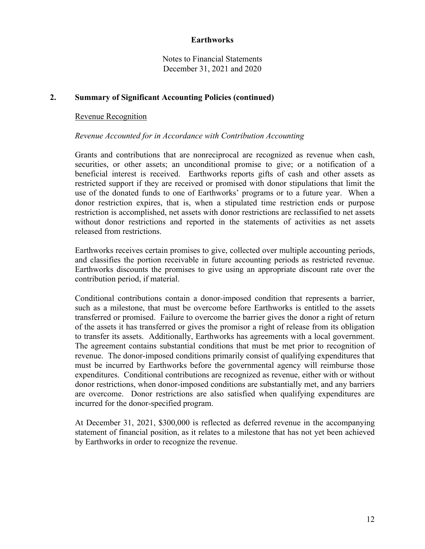Notes to Financial Statements December 31, 2021 and 2020

## **2. Summary of Significant Accounting Policies (continued)**

## Revenue Recognition

### *Revenue Accounted for in Accordance with Contribution Accounting*

Grants and contributions that are nonreciprocal are recognized as revenue when cash, securities, or other assets; an unconditional promise to give; or a notification of a beneficial interest is received. Earthworks reports gifts of cash and other assets as restricted support if they are received or promised with donor stipulations that limit the use of the donated funds to one of Earthworks' programs or to a future year. When a donor restriction expires, that is, when a stipulated time restriction ends or purpose restriction is accomplished, net assets with donor restrictions are reclassified to net assets without donor restrictions and reported in the statements of activities as net assets released from restrictions.

Earthworks receives certain promises to give, collected over multiple accounting periods, and classifies the portion receivable in future accounting periods as restricted revenue. Earthworks discounts the promises to give using an appropriate discount rate over the contribution period, if material.

Conditional contributions contain a donor-imposed condition that represents a barrier, such as a milestone, that must be overcome before Earthworks is entitled to the assets transferred or promised. Failure to overcome the barrier gives the donor a right of return of the assets it has transferred or gives the promisor a right of release from its obligation to transfer its assets. Additionally, Earthworks has agreements with a local government. The agreement contains substantial conditions that must be met prior to recognition of revenue. The donor-imposed conditions primarily consist of qualifying expenditures that must be incurred by Earthworks before the governmental agency will reimburse those expenditures. Conditional contributions are recognized as revenue, either with or without donor restrictions, when donor-imposed conditions are substantially met, and any barriers are overcome. Donor restrictions are also satisfied when qualifying expenditures are incurred for the donor-specified program.

At December 31, 2021, \$300,000 is reflected as deferred revenue in the accompanying statement of financial position, as it relates to a milestone that has not yet been achieved by Earthworks in order to recognize the revenue.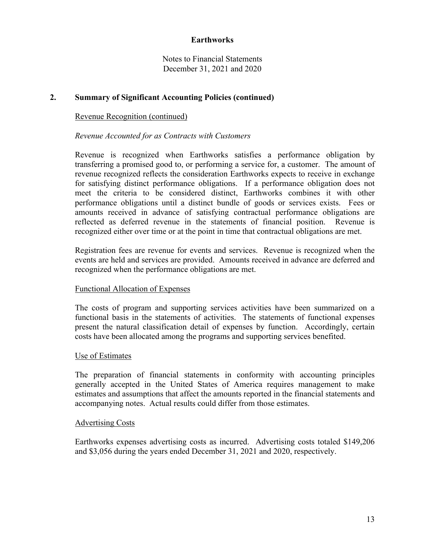Notes to Financial Statements December 31, 2021 and 2020

## **2. Summary of Significant Accounting Policies (continued)**

## Revenue Recognition (continued)

### *Revenue Accounted for as Contracts with Customers*

Revenue is recognized when Earthworks satisfies a performance obligation by transferring a promised good to, or performing a service for, a customer. The amount of revenue recognized reflects the consideration Earthworks expects to receive in exchange for satisfying distinct performance obligations. If a performance obligation does not meet the criteria to be considered distinct, Earthworks combines it with other performance obligations until a distinct bundle of goods or services exists. Fees or amounts received in advance of satisfying contractual performance obligations are reflected as deferred revenue in the statements of financial position. Revenue is recognized either over time or at the point in time that contractual obligations are met.

Registration fees are revenue for events and services. Revenue is recognized when the events are held and services are provided. Amounts received in advance are deferred and recognized when the performance obligations are met.

#### Functional Allocation of Expenses

The costs of program and supporting services activities have been summarized on a functional basis in the statements of activities. The statements of functional expenses present the natural classification detail of expenses by function. Accordingly, certain costs have been allocated among the programs and supporting services benefited.

#### Use of Estimates

The preparation of financial statements in conformity with accounting principles generally accepted in the United States of America requires management to make estimates and assumptions that affect the amounts reported in the financial statements and accompanying notes. Actual results could differ from those estimates.

#### Advertising Costs

Earthworks expenses advertising costs as incurred. Advertising costs totaled \$149,206 and \$3,056 during the years ended December 31, 2021 and 2020, respectively.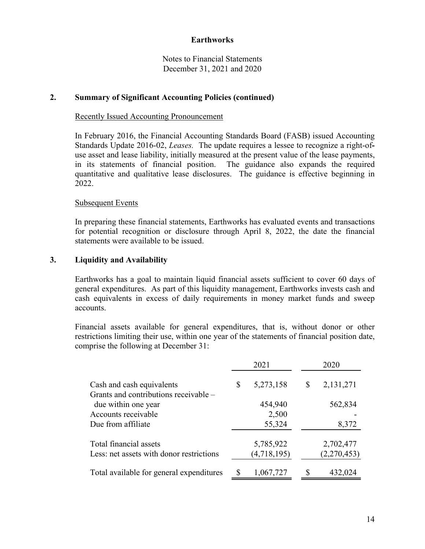Notes to Financial Statements December 31, 2021 and 2020

### **2. Summary of Significant Accounting Policies (continued)**

#### Recently Issued Accounting Pronouncement

In February 2016, the Financial Accounting Standards Board (FASB) issued Accounting Standards Update 2016-02, *Leases.* The update requires a lessee to recognize a right-ofuse asset and lease liability, initially measured at the present value of the lease payments, in its statements of financial position. The guidance also expands the required quantitative and qualitative lease disclosures. The guidance is effective beginning in 2022.

## **Subsequent Events**

In preparing these financial statements, Earthworks has evaluated events and transactions for potential recognition or disclosure through April 8, 2022, the date the financial statements were available to be issued.

## **3. Liquidity and Availability**

Earthworks has a goal to maintain liquid financial assets sufficient to cover 60 days of general expenditures. As part of this liquidity management, Earthworks invests cash and cash equivalents in excess of daily requirements in money market funds and sweep accounts.

Financial assets available for general expenditures, that is, without donor or other restrictions limiting their use, within one year of the statements of financial position date, comprise the following at December 31:

|                                                                    |  | 2021        |    | 2020        |
|--------------------------------------------------------------------|--|-------------|----|-------------|
| Cash and cash equivalents<br>Grants and contributions receivable – |  | 5,273,158   | \$ | 2,131,271   |
| due within one year                                                |  | 454,940     |    | 562,834     |
| Accounts receivable                                                |  | 2,500       |    |             |
| Due from affiliate                                                 |  | 55,324      |    | 8,372       |
| Total financial assets                                             |  | 5,785,922   |    | 2,702,477   |
| Less: net assets with donor restrictions                           |  | (4,718,195) |    | (2,270,453) |
| Total available for general expenditures                           |  | 1,067,727   | S  | 432,024     |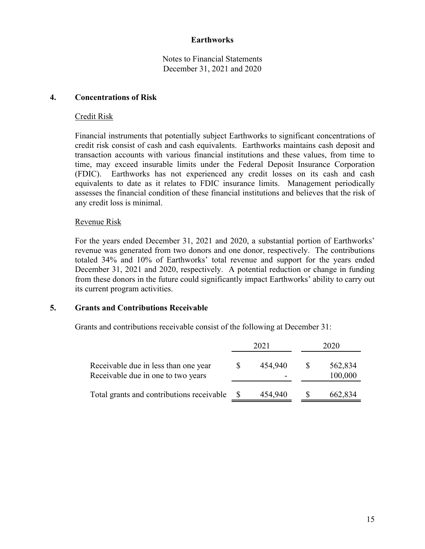Notes to Financial Statements December 31, 2021 and 2020

## **4. Concentrations of Risk**

#### Credit Risk

Financial instruments that potentially subject Earthworks to significant concentrations of credit risk consist of cash and cash equivalents. Earthworks maintains cash deposit and transaction accounts with various financial institutions and these values, from time to time, may exceed insurable limits under the Federal Deposit Insurance Corporation (FDIC). Earthworks has not experienced any credit losses on its cash and cash equivalents to date as it relates to FDIC insurance limits. Management periodically assesses the financial condition of these financial institutions and believes that the risk of any credit loss is minimal.

### Revenue Risk

For the years ended December 31, 2021 and 2020, a substantial portion of Earthworks' revenue was generated from two donors and one donor, respectively. The contributions totaled 34% and 10% of Earthworks' total revenue and support for the years ended December 31, 2021 and 2020, respectively. A potential reduction or change in funding from these donors in the future could significantly impact Earthworks' ability to carry out its current program activities.

## **5. Grants and Contributions Receivable**

Grants and contributions receivable consist of the following at December 31:

|                                                                            | 2021    | 2020 |                    |  |
|----------------------------------------------------------------------------|---------|------|--------------------|--|
| Receivable due in less than one year<br>Receivable due in one to two years | 454,940 |      | 562,834<br>100,000 |  |
| Total grants and contributions receivable                                  | 454,940 |      | 662,834            |  |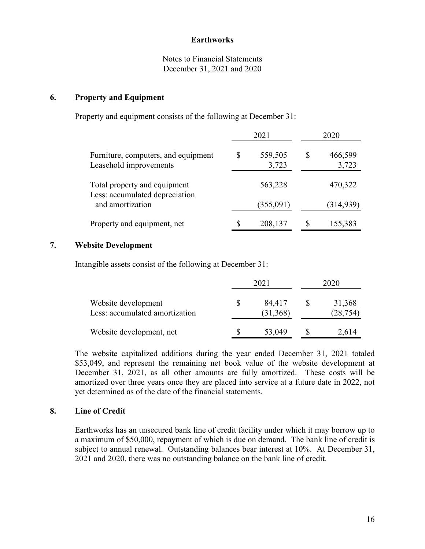Notes to Financial Statements December 31, 2021 and 2020

### **6. Property and Equipment**

Property and equipment consists of the following at December 31:

|                                                                |   | 2021             | 2020 |                  |  |
|----------------------------------------------------------------|---|------------------|------|------------------|--|
| Furniture, computers, and equipment<br>Leasehold improvements  | S | 559,505<br>3,723 | S    | 466,599<br>3,723 |  |
| Total property and equipment<br>Less: accumulated depreciation |   | 563,228          |      | 470,322          |  |
| and amortization                                               |   | (355,091)        |      | (314, 939)       |  |
| Property and equipment, net                                    |   | 208,137          |      | 155,383          |  |

## **7. Website Development**

Intangible assets consist of the following at December 31:

|                                                       | 2021                | 2020 |                     |  |
|-------------------------------------------------------|---------------------|------|---------------------|--|
| Website development<br>Less: accumulated amortization | 84,417<br>(31, 368) |      | 31,368<br>(28, 754) |  |
| Website development, net                              | 53,049              |      | 2,614               |  |

The website capitalized additions during the year ended December 31, 2021 totaled \$53,049, and represent the remaining net book value of the website development at December 31, 2021, as all other amounts are fully amortized. These costs will be amortized over three years once they are placed into service at a future date in 2022, not yet determined as of the date of the financial statements.

## **8. Line of Credit**

Earthworks has an unsecured bank line of credit facility under which it may borrow up to a maximum of \$50,000, repayment of which is due on demand. The bank line of credit is subject to annual renewal. Outstanding balances bear interest at 10%. At December 31, 2021 and 2020, there was no outstanding balance on the bank line of credit.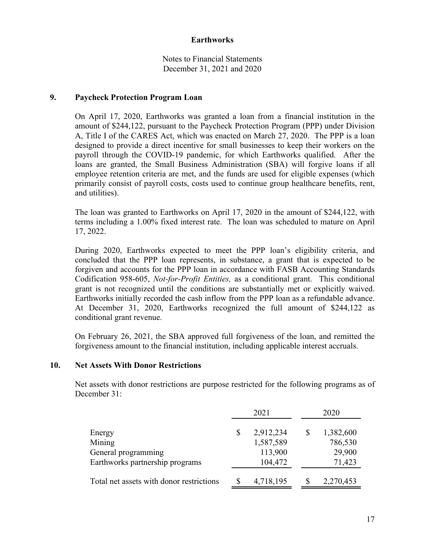Notes to Financial Statements December 31, 2021 and 2020

### **9. Paycheck Protection Program Loan**

On April 17, 2020, Earthworks was granted a loan from a financial institution in the amount of \$244,122, pursuant to the Paycheck Protection Program (PPP) under Division A, Title I of the CARES Act, which was enacted on March 27, 2020. The PPP is a loan designed to provide a direct incentive for small businesses to keep their workers on the payroll through the COVID-19 pandemic, for which Earthworks qualified. After the loans are granted, the Small Business Administration (SBA) will forgive loans if all employee retention criteria are met, and the funds are used for eligible expenses (which primarily consist of payroll costs, costs used to continue group healthcare benefits, rent, and utilities).

The loan was granted to Earthworks on April 17, 2020 in the amount of \$244,122, with terms including a 1.00% fixed interest rate. The loan was scheduled to mature on April 17, 2022.

During 2020, Earthworks expected to meet the PPP loan's eligibility criteria, and concluded that the PPP loan represents, in substance, a grant that is expected to be forgiven and accounts for the PPP loan in accordance with FASB Accounting Standards Codification 958-605, *Not-for-Profit Entities,* as a conditional grant. This conditional grant is not recognized until the conditions are substantially met or explicitly waived. Earthworks initially recorded the cash inflow from the PPP loan as a refundable advance. At December 31, 2020, Earthworks recognized the full amount of \$244,122 as conditional grant revenue.

On February 26, 2021, the SBA approved full forgiveness of the loan, and remitted the forgiveness amount to the financial institution, including applicable interest accruals.

## **10. Net Assets With Donor Restrictions**

Net assets with donor restrictions are purpose restricted for the following programs as of December 31:

|                                          | 2021      | 2020            |
|------------------------------------------|-----------|-----------------|
| Energy                                   | 2,912,234 | \$<br>1,382,600 |
| Mining                                   | 1,587,589 | 786,530         |
| General programming                      | 113,900   | 29,900          |
| Earthworks partnership programs          | 104,472   | 71,423          |
| Total net assets with donor restrictions | 4,718,195 | 2,270,453       |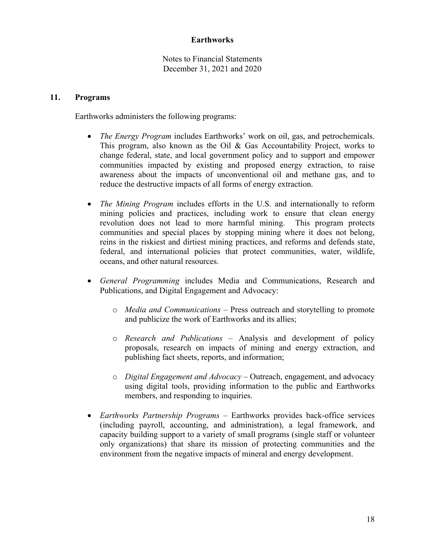Notes to Financial Statements December 31, 2021 and 2020

### **11. Programs**

Earthworks administers the following programs:

- *The Energy Program* includes Earthworks' work on oil, gas, and petrochemicals. This program, also known as the Oil & Gas Accountability Project, works to change federal, state, and local government policy and to support and empower communities impacted by existing and proposed energy extraction, to raise awareness about the impacts of unconventional oil and methane gas, and to reduce the destructive impacts of all forms of energy extraction.
- *The Mining Program* includes efforts in the U.S. and internationally to reform mining policies and practices, including work to ensure that clean energy revolution does not lead to more harmful mining. This program protects communities and special places by stopping mining where it does not belong, reins in the riskiest and dirtiest mining practices, and reforms and defends state, federal, and international policies that protect communities, water, wildlife, oceans, and other natural resources.
- *General Programming* includes Media and Communications, Research and Publications, and Digital Engagement and Advocacy:
	- o *Media and Communications* Press outreach and storytelling to promote and publicize the work of Earthworks and its allies;
	- o *Research and Publications* Analysis and development of policy proposals, research on impacts of mining and energy extraction, and publishing fact sheets, reports, and information;
	- o *Digital Engagement and Advocacy*  Outreach, engagement, and advocacy using digital tools, providing information to the public and Earthworks members, and responding to inquiries.
- *Earthworks Partnership Programs*  Earthworks provides back-office services (including payroll, accounting, and administration), a legal framework, and capacity building support to a variety of small programs (single staff or volunteer only organizations) that share its mission of protecting communities and the environment from the negative impacts of mineral and energy development.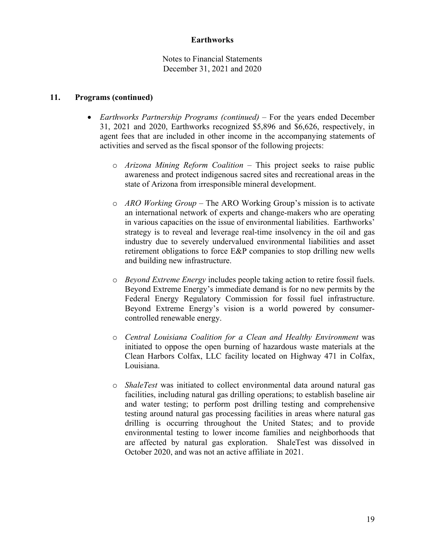Notes to Financial Statements December 31, 2021 and 2020

### **11. Programs (continued)**

- *Earthworks Partnership Programs (continued)* For the years ended December 31, 2021 and 2020, Earthworks recognized \$5,896 and \$6,626, respectively, in agent fees that are included in other income in the accompanying statements of activities and served as the fiscal sponsor of the following projects:
	- o *Arizona Mining Reform Coalition*  This project seeks to raise public awareness and protect indigenous sacred sites and recreational areas in the state of Arizona from irresponsible mineral development.
	- o *ARO Working Group*  The ARO Working Group's mission is to activate an international network of experts and change-makers who are operating in various capacities on the issue of environmental liabilities. Earthworks' strategy is to reveal and leverage real-time insolvency in the oil and gas industry due to severely undervalued environmental liabilities and asset retirement obligations to force E&P companies to stop drilling new wells and building new infrastructure.
	- o *Beyond Extreme Energy* includes people taking action to retire fossil fuels. Beyond Extreme Energy's immediate demand is for no new permits by the Federal Energy Regulatory Commission for fossil fuel infrastructure. Beyond Extreme Energy's vision is a world powered by consumercontrolled renewable energy.
	- o *Central Louisiana Coalition for a Clean and Healthy Environment* was initiated to oppose the open burning of hazardous waste materials at the Clean Harbors Colfax, LLC facility located on Highway 471 in Colfax, Louisiana.
	- o *ShaleTest* was initiated to collect environmental data around natural gas facilities, including natural gas drilling operations; to establish baseline air and water testing; to perform post drilling testing and comprehensive testing around natural gas processing facilities in areas where natural gas drilling is occurring throughout the United States; and to provide environmental testing to lower income families and neighborhoods that are affected by natural gas exploration. ShaleTest was dissolved in October 2020, and was not an active affiliate in 2021.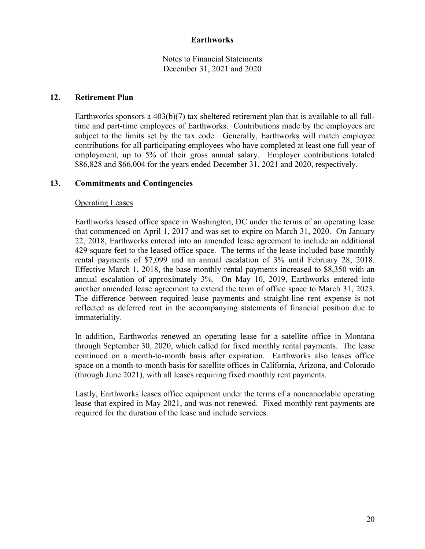Notes to Financial Statements December 31, 2021 and 2020

### **12. Retirement Plan**

Earthworks sponsors a 403(b)(7) tax sheltered retirement plan that is available to all fulltime and part-time employees of Earthworks. Contributions made by the employees are subject to the limits set by the tax code. Generally, Earthworks will match employee contributions for all participating employees who have completed at least one full year of employment, up to 5% of their gross annual salary. Employer contributions totaled \$86,828 and \$66,004 for the years ended December 31, 2021 and 2020, respectively.

## **13. Commitments and Contingencies**

### Operating Leases

Earthworks leased office space in Washington, DC under the terms of an operating lease that commenced on April 1, 2017 and was set to expire on March 31, 2020. On January 22, 2018, Earthworks entered into an amended lease agreement to include an additional 429 square feet to the leased office space. The terms of the lease included base monthly rental payments of \$7,099 and an annual escalation of 3% until February 28, 2018. Effective March 1, 2018, the base monthly rental payments increased to \$8,350 with an annual escalation of approximately 3%. On May 10, 2019, Earthworks entered into another amended lease agreement to extend the term of office space to March 31, 2023. The difference between required lease payments and straight-line rent expense is not reflected as deferred rent in the accompanying statements of financial position due to immateriality.

In addition, Earthworks renewed an operating lease for a satellite office in Montana through September 30, 2020, which called for fixed monthly rental payments. The lease continued on a month-to-month basis after expiration. Earthworks also leases office space on a month-to-month basis for satellite offices in California, Arizona, and Colorado (through June 2021), with all leases requiring fixed monthly rent payments.

Lastly, Earthworks leases office equipment under the terms of a noncancelable operating lease that expired in May 2021, and was not renewed. Fixed monthly rent payments are required for the duration of the lease and include services.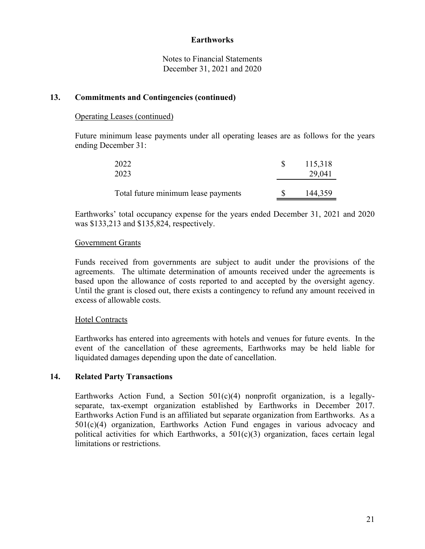Notes to Financial Statements December 31, 2021 and 2020

### **13. Commitments and Contingencies (continued)**

### Operating Leases (continued)

Future minimum lease payments under all operating leases are as follows for the years ending December 31:

| 2022<br>2023                        | 115,318<br>29,041 |
|-------------------------------------|-------------------|
| Total future minimum lease payments | 144,359           |

Earthworks' total occupancy expense for the years ended December 31, 2021 and 2020 was \$133,213 and \$135,824, respectively.

### Government Grants

Funds received from governments are subject to audit under the provisions of the agreements. The ultimate determination of amounts received under the agreements is based upon the allowance of costs reported to and accepted by the oversight agency. Until the grant is closed out, there exists a contingency to refund any amount received in excess of allowable costs.

## Hotel Contracts

Earthworks has entered into agreements with hotels and venues for future events. In the event of the cancellation of these agreements, Earthworks may be held liable for liquidated damages depending upon the date of cancellation.

## **14. Related Party Transactions**

Earthworks Action Fund, a Section  $501(c)(4)$  nonprofit organization, is a legallyseparate, tax-exempt organization established by Earthworks in December 2017. Earthworks Action Fund is an affiliated but separate organization from Earthworks. As a 501(c)(4) organization, Earthworks Action Fund engages in various advocacy and political activities for which Earthworks, a  $501(c)(3)$  organization, faces certain legal limitations or restrictions.